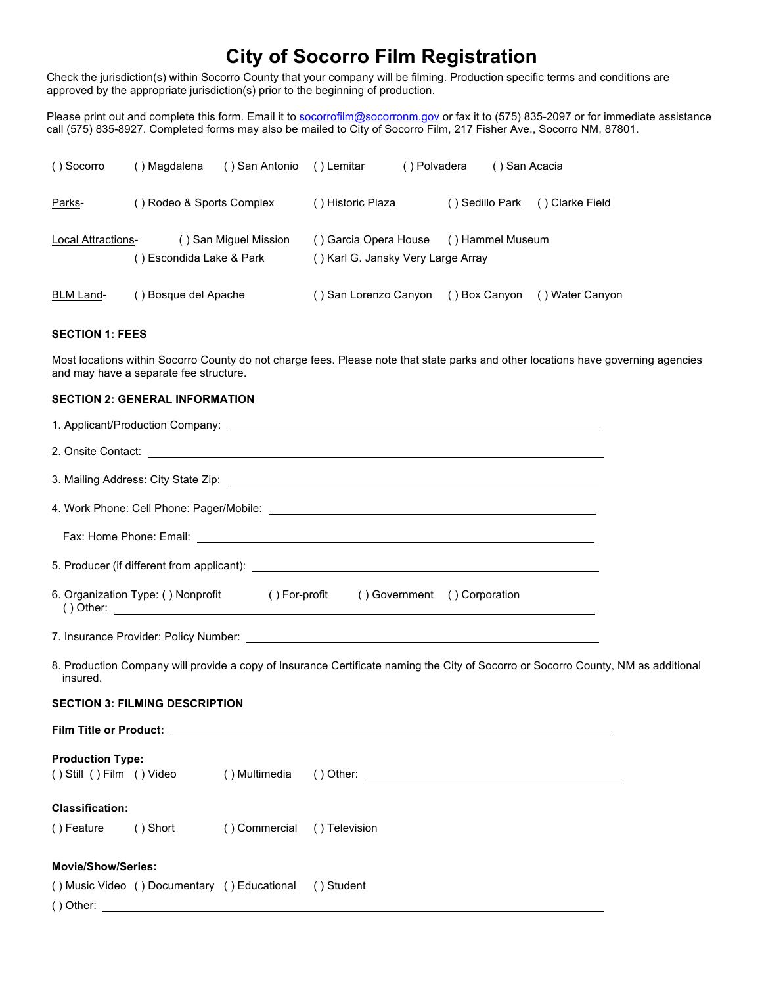## **City of Socorro Film Registration**

Check the jurisdiction(s) within Socorro County that your company will be filming. Production specific terms and conditions are approved by the appropriate jurisdiction(s) prior to the beginning of production.

Please print out and complete this form. Email it to socorrofilm@socorronm.gov or fax it to (575) 835-2097 or for immediate assistance call (575) 835-8927. Completed forms may also be mailed to City of Socorro Film, 217 Fisher Ave., Socorro NM, 87801.

| () Socorro                | () Magdalena              | () San Antonio () Lemitar |                                                             | () Polvadera | () San Acacia    |                 |
|---------------------------|---------------------------|---------------------------|-------------------------------------------------------------|--------------|------------------|-----------------|
| Parks-                    | () Rodeo & Sports Complex |                           | () Historic Plaza                                           |              | () Sedillo Park  | () Clarke Field |
| <b>Local Attractions-</b> | () Escondida Lake & Park  | () San Miguel Mission     | () Garcia Opera House<br>() Karl G. Jansky Very Large Array |              | () Hammel Museum |                 |
| BLM Land-                 | Bosque del Apache         |                           | ( ) San Lorenzo Canyon                                      |              | () Box Canyon    | () Water Canyon |

## **SECTION 1: FEES**

Most locations within Socorro County do not charge fees. Please note that state parks and other locations have governing agencies and may have a separate fee structure.

## **SECTION 2: GENERAL INFORMATION**

| 6. Organization Type: () Nonprofit () For-profit () Government () Corporation<br>() Other: $\frac{1}{2}$ Other: $\frac{1}{2}$ Other: $\frac{1}{2}$ Other: $\frac{1}{2}$ Other: $\frac{1}{2}$ Other: $\frac{1}{2}$ Other: $\frac{1}{2}$ Other: $\frac{1}{2}$ Other: $\frac{1}{2}$ Other: $\frac{1}{2}$ Other: $\frac{1}{2}$ Other: $\frac{1}{2}$ Other: $\frac{1}{2$ |  |  |  |  |  |  |
|---------------------------------------------------------------------------------------------------------------------------------------------------------------------------------------------------------------------------------------------------------------------------------------------------------------------------------------------------------------------|--|--|--|--|--|--|
|                                                                                                                                                                                                                                                                                                                                                                     |  |  |  |  |  |  |
| 8. Production Company will provide a copy of Insurance Certificate naming the City of Socorro or Socorro County, NM as additional<br>insured.                                                                                                                                                                                                                       |  |  |  |  |  |  |
| <b>SECTION 3: FILMING DESCRIPTION</b>                                                                                                                                                                                                                                                                                                                               |  |  |  |  |  |  |
|                                                                                                                                                                                                                                                                                                                                                                     |  |  |  |  |  |  |
| <b>Production Type:</b><br>() Still () Film () Video () Multimedia () Other: ______________________________                                                                                                                                                                                                                                                         |  |  |  |  |  |  |
| <b>Classification:</b>                                                                                                                                                                                                                                                                                                                                              |  |  |  |  |  |  |
| () Feature () Short () Commercial () Television                                                                                                                                                                                                                                                                                                                     |  |  |  |  |  |  |
| <b>Movie/Show/Series:</b>                                                                                                                                                                                                                                                                                                                                           |  |  |  |  |  |  |
| () Music Video () Documentary () Educational () Student<br>() Other:                                                                                                                                                                                                                                                                                                |  |  |  |  |  |  |